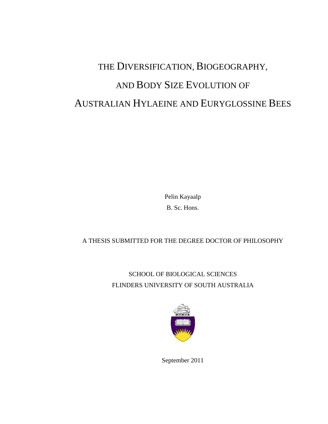# THE DIVERSIFICATION, BIOGEOGRAPHY, AND BODY SIZE EVOLUTION OF AUSTRALIAN HYLAEINE AND EURYGLOSSINE BEES

Pelin Kayaalp B. Sc. Hons.

#### A THESIS SUBMITTED FOR THE DEGREE DOCTOR OF PHILOSOPHY

SCHOOL OF BIOLOGICAL SCIENCES FLINDERS UNIVERSITY OF SOUTH AUSTRALIA



September 2011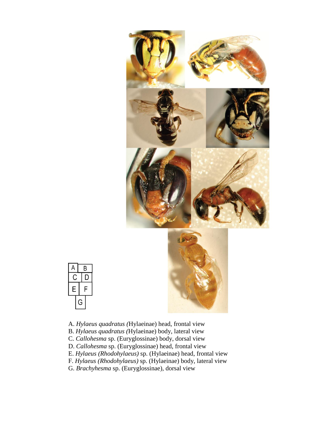



- A. *Hylaeus quadratus (*Hylaeinae) head, frontal view
- B. *Hylaeus quadratus (*Hylaeinae) body, lateral view
- C. *Callohesma* sp. (Euryglossinae) body, dorsal view
- D. *Callohesma* sp. (Euryglossinae) head, frontal view
- E. *Hylaeus (Rhodohylaeus)* sp. (Hylaeinae) head, frontal view
- F. *Hylaeus (Rhodohylaeus)* sp. (Hylaeinae) body, lateral view
- G. *Brachyhesma* sp. (Euryglossinae), dorsal view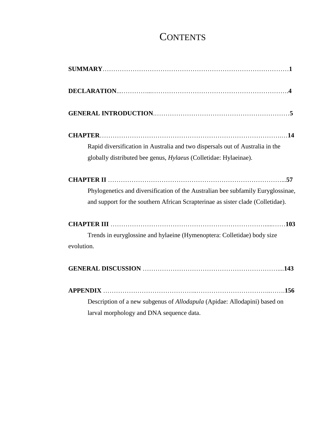# **CONTENTS**

| Rapid diversification in Australia and two dispersals out of Australia in the    |
|----------------------------------------------------------------------------------|
| globally distributed bee genus, Hylaeus (Colletidae: Hylaeinae).                 |
|                                                                                  |
| Phylogenetics and diversification of the Australian bee subfamily Euryglossinae, |
| and support for the southern African Scrapterinae as sister clade (Colletidae).  |
|                                                                                  |
| Trends in euryglossine and hylaeine (Hymenoptera: Colletidae) body size          |
| evolution.                                                                       |
|                                                                                  |
|                                                                                  |
| Description of a new subgenus of Allodapula (Apidae: Allodapini) based on        |
| larval morphology and DNA sequence data.                                         |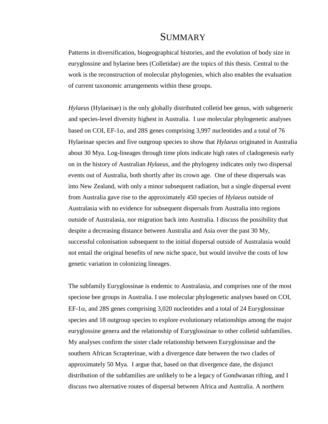### **SUMMARY**

Patterns in diversification, biogeographical histories, and the evolution of body size in euryglossine and hylaeine bees (Colletidae) are the topics of this thesis. Central to the work is the reconstruction of molecular phylogenies, which also enables the evaluation of current taxonomic arrangements within these groups.

*Hylaeus* (Hylaeinae) is the only globally distributed colletid bee genus, with subgeneric and species-level diversity highest in Australia. I use molecular phylogenetic analyses based on COI, EF-1 $\alpha$ , and 28S genes comprising 3,997 nucleotides and a total of 76 Hylaeinae species and five outgroup species to show that *Hylaeus* originated in Australia about 30 Mya. Log-lineages through time plots indicate high rates of cladogenesis early on in the history of Australian *Hylaeus*, and the phylogeny indicates only two dispersal events out of Australia, both shortly after its crown age. One of these dispersals was into New Zealand, with only a minor subsequent radiation, but a single dispersal event from Australia gave rise to the approximately 450 species of *Hylaeus* outside of Australasia with no evidence for subsequent dispersals from Australia into regions outside of Australasia, nor migration back into Australia. I discuss the possibility that despite a decreasing distance between Australia and Asia over the past 30 My, successful colonisation subsequent to the initial dispersal outside of Australasia would not entail the original benefits of new niche space, but would involve the costs of low genetic variation in colonizing lineages.

The subfamily Euryglossinae is endemic to Australasia, and comprises one of the most speciose bee groups in Australia. I use molecular phylogenetic analyses based on COI,  $EF-1\alpha$ , and 28S genes comprising 3,020 nucleotides and a total of 24 Euryglossinae species and 18 outgroup species to explore evolutionary relationships among the major euryglossine genera and the relationship of Euryglossinae to other colletid subfamilies. My analyses confirm the sister clade relationship between Euryglossinae and the southern African Scrapterinae, with a divergence date between the two clades of approximately 50 Mya. I argue that, based on that divergence date, the disjunct distribution of the subfamilies are unlikely to be a legacy of Gondwanan rifting, and I discuss two alternative routes of dispersal between Africa and Australia. A northern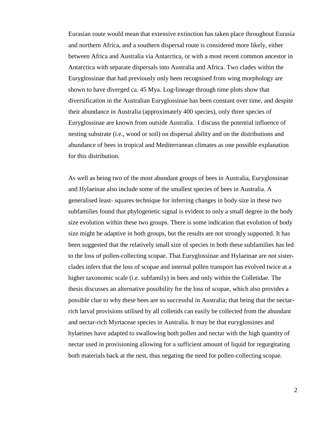Eurasian route would mean that extensive extinction has taken place throughout Eurasia and northern Africa, and a southern dispersal route is considered more likely, either between Africa and Australia via Antarctica, or with a most recent common ancestor in Antarctica with separate dispersals into Australia and Africa. Two clades within the Euryglossinae that had previously only been recognised from wing morphology are shown to have diverged ca. 45 Mya. Log-lineage through time plots show that diversification in the Australian Euryglossinae has been constant over time, and despite their abundance in Australia (approximately 400 species), only three species of Euryglossinae are known from outside Australia. I discuss the potential influence of nesting substrate (i.e., wood or soil) on dispersal ability and on the distributions and abundance of bees in tropical and Mediterranean climates as one possible explanation for this distribution.

As well as being two of the most abundant groups of bees in Australia, Euryglossinae and Hylaeinae also include some of the smallest species of bees in Australia. A generalised least- squares technique for inferring changes in body size in these two subfamilies found that phylogenetic signal is evident to only a small degree in the body size evolution within these two groups. There is some indication that evolution of body size might be adaptive in both groups, but the results are not strongly supported. It has been suggested that the relatively small size of species in both these subfamilies has led to the loss of pollen-collecting scopae. That Euryglossinae and Hylaeinae are not sisterclades infers that the loss of scopae and internal pollen transport has evolved twice at a higher taxonomic scale (i.e. subfamily) in bees and only within the Colletidae. The thesis discusses an alternative possibility for the loss of scopae, which also provides a possible clue to why these bees are so successful in Australia; that being that the nectarrich larval provisions utilised by all colletids can easily be collected from the abundant and nectar-rich Myrtaceae species in Australia. It may be that euryglossines and hylaeines have adapted to swallowing both pollen and nectar with the high quantity of nectar used in provisioning allowing for a sufficient amount of liquid for regurgitating both materials back at the nest, thus negating the need for pollen-collecting scopae.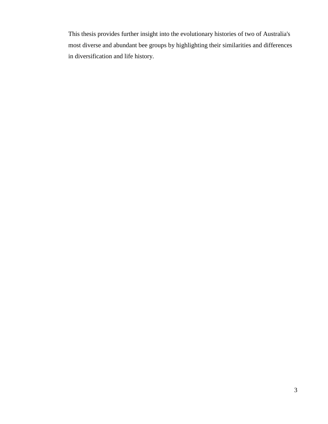This thesis provides further insight into the evolutionary histories of two of Australia's most diverse and abundant bee groups by highlighting their similarities and differences in diversification and life history.